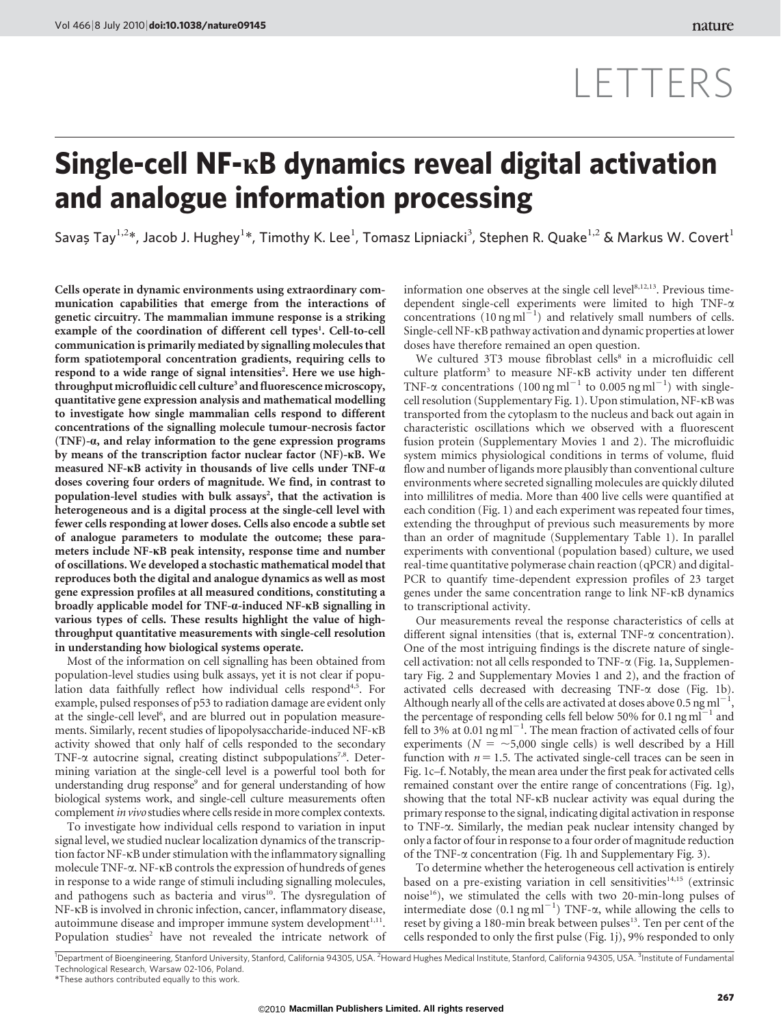# LETTERS

## Single-cell NF-kB dynamics reveal digital activation and analogue information processing

Savaș Tay $^{1,2}$ \*, Jacob J. Hughey $^{1*}$ , Timothy K. Lee $^1$ , Tomasz Lipniacki $^3$ , Stephen R. Quake $^{1,2}$  & Markus W. Covert $^1$ 

Cells operate in dynamic environments using extraordinary communication capabilities that emerge from the interactions of genetic circuitry. The mammalian immune response is a striking example of the coordination of different cell types<sup>1</sup>. Cell-to-cell communication is primarily mediated by signalling molecules that form spatiotemporal concentration gradients, requiring cells to respond to a wide range of signal intensities<sup>2</sup>. Here we use highthroughput microfluidic cell culture<sup>3</sup> and fluorescence microscopy, quantitative gene expression analysis and mathematical modelling to investigate how single mammalian cells respond to different concentrations of the signalling molecule tumour-necrosis factor (TNF)-a, and relay information to the gene expression programs by means of the transcription factor nuclear factor (NF)-kB. We measured NF-kB activity in thousands of live cells under TNF-a doses covering four orders of magnitude. We find, in contrast to population-level studies with bulk assays<sup>2</sup>, that the activation is heterogeneous and is a digital process at the single-cell level with fewer cells responding at lower doses. Cells also encode a subtle set of analogue parameters to modulate the outcome; these parameters include NF-kB peak intensity, response time and number of oscillations. We developed a stochastic mathematical model that reproduces both the digital and analogue dynamics as well as most gene expression profiles at all measured conditions, constituting a broadly applicable model for TNF-a-induced NF-kB signalling in various types of cells. These results highlight the value of highthroughput quantitative measurements with single-cell resolution in understanding how biological systems operate.

Most of the information on cell signalling has been obtained from population-level studies using bulk assays, yet it is not clear if population data faithfully reflect how individual cells respond<sup>4,5</sup>. For example, pulsed responses of p53 to radiation damage are evident only at the single-cell level<sup>6</sup>, and are blurred out in population measurements. Similarly, recent studies of lipopolysaccharide-induced NF-kB activity showed that only half of cells responded to the secondary TNF- $\alpha$  autocrine signal, creating distinct subpopulations<sup>7,8</sup>. Determining variation at the single-cell level is a powerful tool both for understanding drug response<sup>9</sup> and for general understanding of how biological systems work, and single-cell culture measurements often complement in vivo studies where cells reside in more complex contexts.

To investigate how individual cells respond to variation in input signal level, we studied nuclear localization dynamics of the transcription factor NF-kB under stimulation with the inflammatory signalling molecule TNF-a. NF-kB controls the expression of hundreds of genes in response to a wide range of stimuli including signalling molecules, and pathogens such as bacteria and virus<sup>10</sup>. The dysregulation of NF-kB is involved in chronic infection, cancer, inflammatory disease, autoimmune disease and improper immune system development $1,11$ . Population studies<sup>2</sup> have not revealed the intricate network of information one observes at the single cell level<sup>8,12,13</sup>. Previous timedependent single-cell experiments were limited to high TNF-a concentrations  $(10 \text{ ng ml}^{-1})$  and relatively small numbers of cells. Single-cell NF-kB pathway activation and dynamic properties at lower doses have therefore remained an open question.

We cultured 3T3 mouse fibroblast cells<sup>8</sup> in a microfluidic cell culture platform<sup>3</sup> to measure NF-KB activity under ten different TNF- $\alpha$  concentrations (100 ng ml<sup>-1</sup> to 0.005 ng ml<sup>-1</sup>) with singlecell resolution (Supplementary Fig. 1). Upon stimulation, NF-kB was transported from the cytoplasm to the nucleus and back out again in characteristic oscillations which we observed with a fluorescent fusion protein (Supplementary Movies 1 and 2). The microfluidic system mimics physiological conditions in terms of volume, fluid flow and number of ligands more plausibly than conventional culture environments where secreted signalling molecules are quickly diluted into millilitres of media. More than 400 live cells were quantified at each condition (Fig. 1) and each experiment was repeated four times, extending the throughput of previous such measurements by more than an order of magnitude (Supplementary Table 1). In parallel experiments with conventional (population based) culture, we used real-time quantitative polymerase chain reaction (qPCR) and digital-PCR to quantify time-dependent expression profiles of 23 target genes under the same concentration range to link NF-kB dynamics to transcriptional activity.

Our measurements reveal the response characteristics of cells at different signal intensities (that is, external TNF- $\alpha$  concentration). One of the most intriguing findings is the discrete nature of singlecell activation: not all cells responded to TNF-a (Fig. 1a, Supplementary Fig. 2 and Supplementary Movies 1 and 2), and the fraction of activated cells decreased with decreasing TNF- $\alpha$  dose (Fig. 1b). Although nearly all of the cells are activated at doses above 0.5 ng ml<sup> $-1$ </sup>, the percentage of responding cells fell below 50% for 0.1  $\text{ng ml}^{-1}$  and fell to 3% at  $0.01$  ng ml<sup>-1</sup>. The mean fraction of activated cells of four experiments ( $N = \sim 5,000$  single cells) is well described by a Hill function with  $n = 1.5$ . The activated single-cell traces can be seen in Fig. 1c–f. Notably, the mean area under the first peak for activated cells remained constant over the entire range of concentrations (Fig. 1g), showing that the total NF-kB nuclear activity was equal during the primary response to the signal, indicating digital activation in response to TNF-a. Similarly, the median peak nuclear intensity changed by only a factor of four in response to a four order of magnitude reduction of the TNF-a concentration (Fig. 1h and Supplementary Fig. 3).

To determine whether the heterogeneous cell activation is entirely based on a pre-existing variation in cell sensitivities<sup>14,15</sup> (extrinsic noise16), we stimulated the cells with two 20-min-long pulses of intermediate dose  $(0.1 \text{ ng ml}^{-1})$  TNF- $\alpha$ , while allowing the cells to reset by giving a 180-min break between pulses<sup>13</sup>. Ten per cent of the cells responded to only the first pulse (Fig. 1j), 9% responded to only

<sup>1</sup>Department of Bioengineering, Stanford University, Stanford, California 94305, USA. <sup>2</sup>Howard Hughes Medical Institute, Stanford, California 94305, USA. <sup>3</sup>Institute of Fundamenta Technological Research, Warsaw 02-106, Poland.

*<sup>\*</sup>*These authors contributed equally to this work.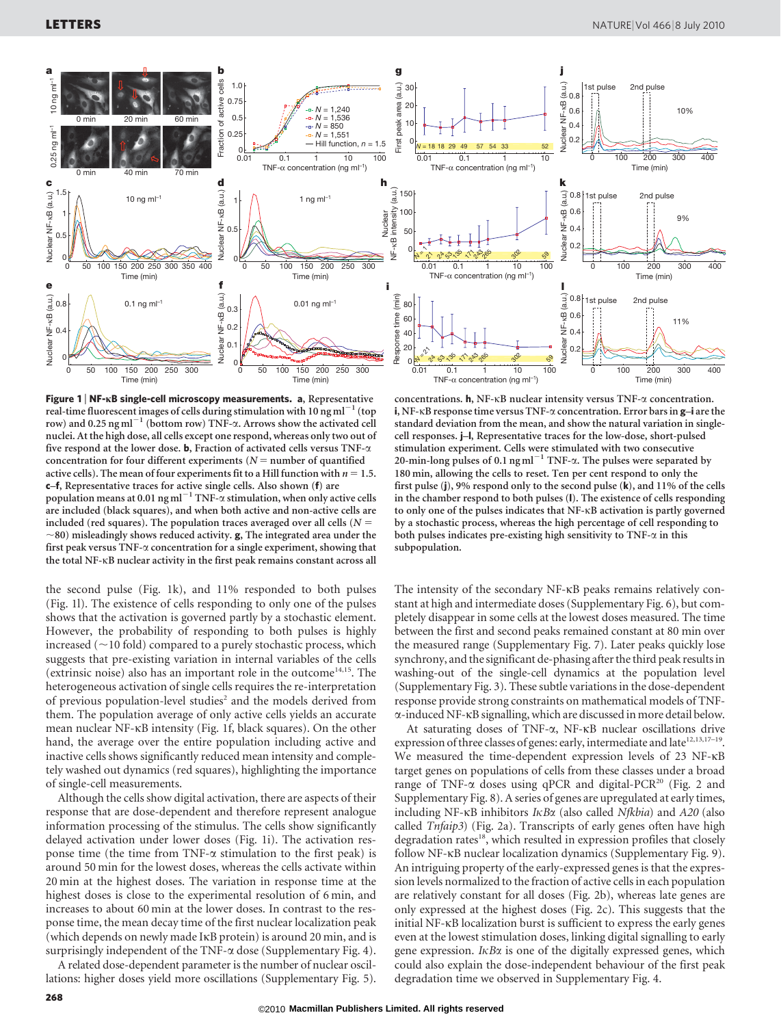

Figure 1 | NF-KB single-cell microscopy measurements. a, Representative real-time fluorescent images of cells during stimulation with 10 ng m $l^{-1}$  (top row) and 0.25 ng ml<sup> $-1$ </sup> (bottom row) TNF- $\alpha$ . Arrows show the activated cell nuclei. At the high dose, all cells except one respond, whereas only two out of five respond at the lower dose. **b**, Fraction of activated cells versus TNF- $\alpha$ concentration for four different experiments ( $N =$  number of quantified active cells). The mean of four experiments fit to a Hill function with  $n = 1.5$ . c–f, Representative traces for active single cells. Also shown (f) are population means at 0.01 ng ml<sup>-1</sup> TNF- $\alpha$  stimulation, when only active cells are included (black squares), and when both active and non-active cells are included (red squares). The population traces averaged over all cells ( $N =$  $\sim$ 80) misleadingly shows reduced activity. **g**, The integrated area under the first peak versus TNF- $\alpha$  concentration for a single experiment, showing that the total NF-kB nuclear activity in the first peak remains constant across all

the second pulse (Fig. 1k), and 11% responded to both pulses (Fig. 1l). The existence of cells responding to only one of the pulses shows that the activation is governed partly by a stochastic element. However, the probability of responding to both pulses is highly increased  $(\sim10$  fold) compared to a purely stochastic process, which suggests that pre-existing variation in internal variables of the cells (extrinsic noise) also has an important role in the outcome<sup>14,15</sup>. The heterogeneous activation of single cells requires the re-interpretation of previous population-level studies<sup>2</sup> and the models derived from them. The population average of only active cells yields an accurate mean nuclear NF-kB intensity (Fig. 1f, black squares). On the other hand, the average over the entire population including active and inactive cells shows significantly reduced mean intensity and completely washed out dynamics (red squares), highlighting the importance of single-cell measurements.

Although the cells show digital activation, there are aspects of their response that are dose-dependent and therefore represent analogue information processing of the stimulus. The cells show significantly delayed activation under lower doses (Fig. 1i). The activation response time (the time from TNF- $\alpha$  stimulation to the first peak) is around 50 min for the lowest doses, whereas the cells activate within 20 min at the highest doses. The variation in response time at the highest doses is close to the experimental resolution of 6 min, and increases to about 60 min at the lower doses. In contrast to the response time, the mean decay time of the first nuclear localization peak (which depends on newly made IkB protein) is around 20 min, and is surprisingly independent of the TNF- $\alpha$  dose (Supplementary Fig. 4).

A related dose-dependent parameter is the number of nuclear oscillations: higher doses yield more oscillations (Supplementary Fig. 5).



concentrations. h, NF-kB nuclear intensity versus TNF-a concentration. i, NF- $\kappa$ B response time versus TNF- $\alpha$  concentration. Error bars in  $g$ -i are the standard deviation from the mean, and show the natural variation in singlecell responses. j–l, Representative traces for the low-dose, short-pulsed stimulation experiment. Cells were stimulated with two consecutive 20-min-long pulses of 0.1 ng ml<sup> $-1$ </sup> TNF- $\alpha$ . The pulses were separated by 180 min, allowing the cells to reset. Ten per cent respond to only the first pulse (j), 9% respond only to the second pulse (k), and 11% of the cells in the chamber respond to both pulses (l). The existence of cells responding to only one of the pulses indicates that NF-kB activation is partly governed by a stochastic process, whereas the high percentage of cell responding to both pulses indicates pre-existing high sensitivity to  $TNF-\alpha$  in this subpopulation.

The intensity of the secondary NF-kB peaks remains relatively constant at high and intermediate doses (Supplementary Fig. 6), but completely disappear in some cells at the lowest doses measured. The time between the first and second peaks remained constant at 80 min over the measured range (Supplementary Fig. 7). Later peaks quickly lose synchrony, and the significant de-phasing after the third peak results in washing-out of the single-cell dynamics at the population level (Supplementary Fig. 3). These subtle variations in the dose-dependent response provide strong constraints on mathematical models of TNFa-induced NF-kB signalling, which are discussed in more detail below.

At saturating doses of TNF- $\alpha$ , NF-KB nuclear oscillations drive expression of three classes of genes: early, intermediate and late<sup>12,13,17-19</sup>. We measured the time-dependent expression levels of 23 NF-kB target genes on populations of cells from these classes under a broad range of TNF- $\alpha$  doses using qPCR and digital-PCR<sup>20</sup> (Fig. 2 and Supplementary Fig. 8). A series of genes are upregulated at early times, including NF- $\kappa$ B inhibitors I $\kappa$ B $\alpha$  (also called Nfkbia) and A20 (also called Tnfaip3) (Fig. 2a). Transcripts of early genes often have high degradation rates<sup>18</sup>, which resulted in expression profiles that closely follow NF-kB nuclear localization dynamics (Supplementary Fig. 9). An intriguing property of the early-expressed genes is that the expression levels normalized to the fraction of active cells in each population are relatively constant for all doses (Fig. 2b), whereas late genes are only expressed at the highest doses (Fig. 2c). This suggests that the initial NF-kB localization burst is sufficient to express the early genes even at the lowest stimulation doses, linking digital signalling to early gene expression.  $I \kappa B \alpha$  is one of the digitally expressed genes, which could also explain the dose-independent behaviour of the first peak degradation time we observed in Supplementary Fig. 4.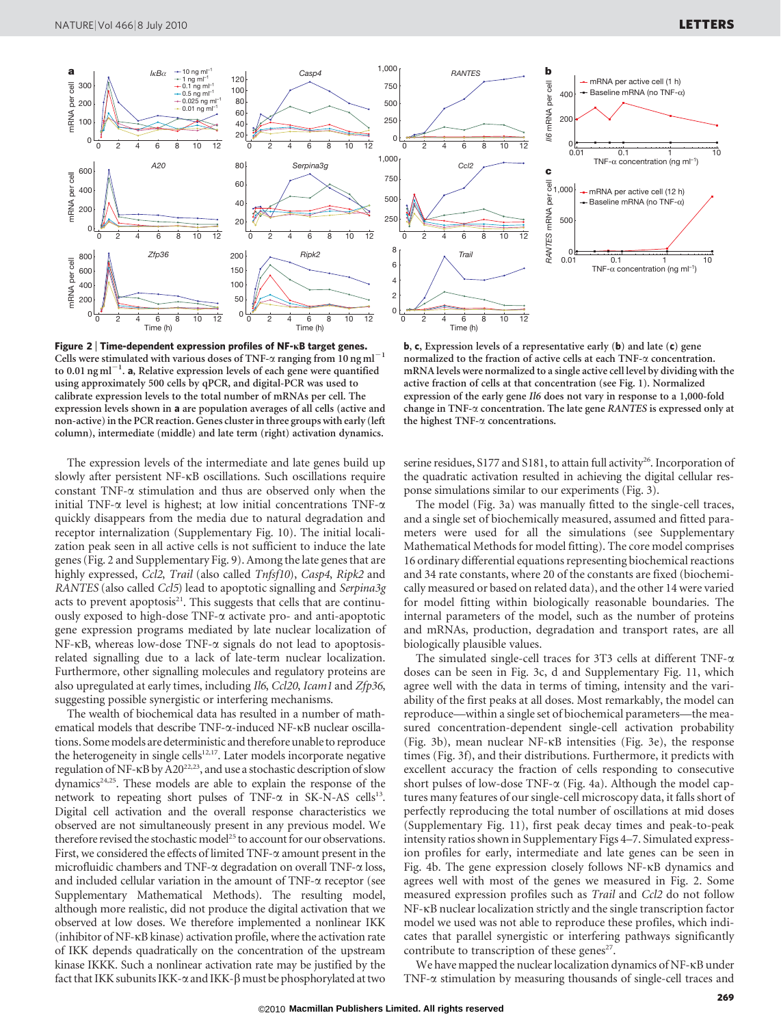

Figure 2 <sup>|</sup> Time-dependent expression profiles of NF-kB target genes. Cells were stimulated with various doses of TNF- $\alpha$  ranging from 10 ng ml<sup>-1</sup> to 0.01  $\mathrm{ng\,ml}^{-1}$ . a, Relative expression levels of each gene were quantified using approximately 500 cells by qPCR, and digital-PCR was used to calibrate expression levels to the total number of mRNAs per cell. The expression levels shown in a are population averages of all cells (active and non-active) in the PCR reaction. Genes cluster in three groups with early (left column), intermediate (middle) and late term (right) activation dynamics.

The expression levels of the intermediate and late genes build up slowly after persistent NF-kB oscillations. Such oscillations require constant TNF- $\alpha$  stimulation and thus are observed only when the initial TNF- $\alpha$  level is highest; at low initial concentrations TNF- $\alpha$ quickly disappears from the media due to natural degradation and receptor internalization (Supplementary Fig. 10). The initial localization peak seen in all active cells is not sufficient to induce the late genes (Fig. 2 and Supplementary Fig. 9). Among the late genes that are highly expressed, Ccl2, Trail (also called Tnfsf10), Casp4, Ripk2 and RANTES (also called Ccl5) lead to apoptotic signalling and Serpina3g acts to prevent apoptosis $21$ . This suggests that cells that are continuously exposed to high-dose TNF- $\alpha$  activate pro- and anti-apoptotic gene expression programs mediated by late nuclear localization of NF-kB, whereas low-dose TNF-a signals do not lead to apoptosisrelated signalling due to a lack of late-term nuclear localization. Furthermore, other signalling molecules and regulatory proteins are also upregulated at early times, including Il6, Ccl20, Icam1 and Zfp36, suggesting possible synergistic or interfering mechanisms.

The wealth of biochemical data has resulted in a number of mathematical models that describe TNF-a-induced NF-kB nuclear oscillations. Some models are deterministic and therefore unable to reproduce the heterogeneity in single cells<sup>12,17</sup>. Later models incorporate negative regulation of NF-<sub>KB</sub> by A20<sup>22,23</sup>, and use a stochastic description of slow dynamics<sup>24,25</sup>. These models are able to explain the response of the network to repeating short pulses of TNF- $\alpha$  in SK-N-AS cells<sup>13</sup>. Digital cell activation and the overall response characteristics we observed are not simultaneously present in any previous model. We therefore revised the stochastic model<sup>25</sup> to account for our observations. First, we considered the effects of limited TNF- $\alpha$  amount present in the microfluidic chambers and TNF- $\alpha$  degradation on overall TNF- $\alpha$  loss, and included cellular variation in the amount of TNF- $\alpha$  receptor (see Supplementary Mathematical Methods). The resulting model, although more realistic, did not produce the digital activation that we observed at low doses. We therefore implemented a nonlinear IKK (inhibitor of NF-kB kinase) activation profile, where the activation rate of IKK depends quadratically on the concentration of the upstream kinase IKKK. Such a nonlinear activation rate may be justified by the fact that IKK subunits IKK- $\alpha$  and IKK- $\beta$  must be phosphorylated at two

b, c, Expression levels of a representative early (b) and late (c) gene normalized to the fraction of active cells at each TNF-a concentration. mRNA levels were normalized to a single active cell level by dividing with the active fraction of cells at that concentration (see Fig. 1). Normalized expression of the early gene Il6 does not vary in response to a 1,000-fold change in TNF-a concentration. The late gene RANTES is expressed only at the highest TNF-a concentrations.

serine residues, S177 and S181, to attain full activity<sup>26</sup>. Incorporation of the quadratic activation resulted in achieving the digital cellular response simulations similar to our experiments (Fig. 3).

The model (Fig. 3a) was manually fitted to the single-cell traces, and a single set of biochemically measured, assumed and fitted parameters were used for all the simulations (see Supplementary Mathematical Methods for model fitting). The core model comprises 16 ordinary differential equations representing biochemical reactions and 34 rate constants, where 20 of the constants are fixed (biochemically measured or based on related data), and the other 14 were varied for model fitting within biologically reasonable boundaries. The internal parameters of the model, such as the number of proteins and mRNAs, production, degradation and transport rates, are all biologically plausible values.

The simulated single-cell traces for 3T3 cells at different TNF- $\alpha$ doses can be seen in Fig. 3c, d and Supplementary Fig. 11, which agree well with the data in terms of timing, intensity and the variability of the first peaks at all doses. Most remarkably, the model can reproduce—within a single set of biochemical parameters—the measured concentration-dependent single-cell activation probability (Fig. 3b), mean nuclear NF-kB intensities (Fig. 3e), the response times (Fig. 3f), and their distributions. Furthermore, it predicts with excellent accuracy the fraction of cells responding to consecutive short pulses of low-dose TNF- $\alpha$  (Fig. 4a). Although the model captures many features of our single-cell microscopy data, it falls short of perfectly reproducing the total number of oscillations at mid doses (Supplementary Fig. 11), first peak decay times and peak-to-peak intensity ratios shown in Supplementary Figs 4–7. Simulated expression profiles for early, intermediate and late genes can be seen in Fig. 4b. The gene expression closely follows NF-kB dynamics and agrees well with most of the genes we measured in Fig. 2. Some measured expression profiles such as Trail and Ccl2 do not follow NF-kB nuclear localization strictly and the single transcription factor model we used was not able to reproduce these profiles, which indicates that parallel synergistic or interfering pathways significantly contribute to transcription of these genes<sup>27</sup>.

We have mapped the nuclear localization dynamics of NF-kB under TNF-a stimulation by measuring thousands of single-cell traces and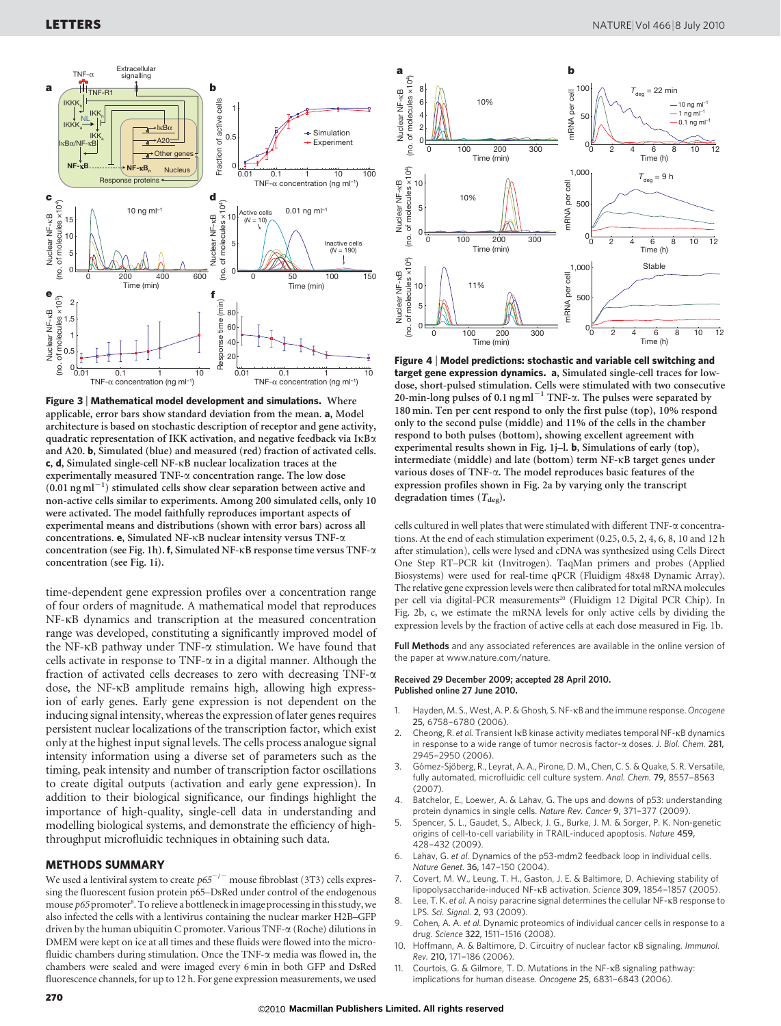

Figure 3 <sup>|</sup> Mathematical model development and simulations. Where applicable, error bars show standard deviation from the mean. a, Model architecture is based on stochastic description of receptor and gene activity, quadratic representation of IKK activation, and negative feedback via IkBa and A20. b, Simulated (blue) and measured (red) fraction of activated cells. c, d, Simulated single-cell NF-kB nuclear localization traces at the experimentally measured TNF-a concentration range. The low dose  $(0.01$  ng ml<sup>-1</sup>) stimulated cells show clear separation between active and non-active cells similar to experiments. Among 200 simulated cells, only 10 were activated. The model faithfully reproduces important aspects of experimental means and distributions (shown with error bars) across all concentrations. e, Simulated NF-kB nuclear intensity versus TNF-a concentration (see Fig. 1h). f, Simulated NF- $\kappa$ B response time versus TNF- $\alpha$ concentration (see Fig. 1i).

time-dependent gene expression profiles over a concentration range of four orders of magnitude. A mathematical model that reproduces NF-kB dynamics and transcription at the measured concentration range was developed, constituting a significantly improved model of the NF- $\kappa$ B pathway under TNF- $\alpha$  stimulation. We have found that cells activate in response to TNF- $\alpha$  in a digital manner. Although the fraction of activated cells decreases to zero with decreasing  $TNF-\alpha$ dose, the NF-kB amplitude remains high, allowing high expression of early genes. Early gene expression is not dependent on the inducing signal intensity, whereas the expression of later genes requires persistent nuclear localizations of the transcription factor, which exist only at the highest input signal levels. The cells process analogue signal intensity information using a diverse set of parameters such as the timing, peak intensity and number of transcription factor oscillations to create digital outputs (activation and early gene expression). In addition to their biological significance, our findings highlight the importance of high-quality, single-cell data in understanding and modelling biological systems, and demonstrate the efficiency of highthroughput microfluidic techniques in obtaining such data.

#### METHODS SUMMARY

We used a lentiviral system to create  $p65^{-/-}$  mouse fibroblast (3T3) cells expressing the fluorescent fusion protein p65–DsRed under control of the endogenous mouse p65 promoter<sup>8</sup>. To relieve a bottleneck in image processing in this study, we also infected the cells with a lentivirus containing the nuclear marker H2B–GFP driven by the human ubiquitin C promoter. Various TNF-a (Roche) dilutions in DMEM were kept on ice at all times and these fluids were flowed into the microfluidic chambers during stimulation. Once the TNF-a media was flowed in, the chambers were sealed and were imaged every 6 min in both GFP and DsRed fluorescence channels, for up to 12 h. For gene expression measurements, we used



Figure 4 <sup>|</sup> Model predictions: stochastic and variable cell switching and target gene expression dynamics. a, Simulated single-cell traces for lowdose, short-pulsed stimulation. Cells were stimulated with two consecutive 20-min-long pulses of 0.1 ng ml<sup> $-1$ </sup> TNF- $\alpha$ . The pulses were separated by 180 min. Ten per cent respond to only the first pulse (top), 10% respond only to the second pulse (middle) and 11% of the cells in the chamber respond to both pulses (bottom), showing excellent agreement with experimental results shown in Fig. 1j–l. b, Simulations of early (top), intermediate (middle) and late (bottom) term NF-kB target genes under various doses of TNF-a. The model reproduces basic features of the expression profiles shown in Fig. 2a by varying only the transcript degradation times  $(T_{\text{deg}})$ .

cells cultured in well plates that were stimulated with different TNF-a concentrations. At the end of each stimulation experiment (0.25, 0.5, 2, 4, 6, 8, 10 and 12 h after stimulation), cells were lysed and cDNA was synthesized using Cells Direct One Step RT–PCR kit (Invitrogen). TaqMan primers and probes (Applied Biosystems) were used for real-time qPCR (Fluidigm 48x48 Dynamic Array). The relative gene expression levels were then calibrated for total mRNA molecules per cell via digital-PCR measurements<sup>20</sup> (Fluidigm 12 Digital PCR Chip). In Fig. 2b, c, we estimate the mRNA levels for only active cells by dividing the expression levels by the fraction of active cells at each dose measured in Fig. 1b.

Full Methods and any associated references are available in the online version of the paper at<www.nature.com/nature>.

#### Received 29 December 2009; accepted 28 April 2010. Published online 27 June 2010.

- 1. Hayden, M. S., West, A. P. & Ghosh, S. NF-KB and the immune response. Oncogene 25, 6758–6780 (2006).
- 2. Cheong, R. et al. Transient IkB kinase activity mediates temporal NF-kB dynamics in response to a wide range of tumor necrosis factor-a doses. J. Biol. Chem. 281, 2945–2950 (2006).
- 3. Gómez-Sjöberg, R., Leyrat, A. A., Pirone, D. M., Chen, C. S. & Quake, S. R. Versatile, fully automated, microfluidic cell culture system. Anal. Chem. 79, 8557–8563 (2007).
- 4. Batchelor, E., Loewer, A. & Lahav, G. The ups and downs of p53: understanding protein dynamics in single cells. Nature Rev. Cancer 9, 371–377 (2009).
- 5. Spencer, S. L., Gaudet, S., Albeck, J. G., Burke, J. M. & Sorger, P. K. Non-genetic origins of cell-to-cell variability in TRAIL-induced apoptosis. Nature 459, 428–432 (2009).
- 6. Lahav, G. et al. Dynamics of the p53-mdm2 feedback loop in individual cells. Nature Genet. 36, 147–150 (2004).
- 7. Covert, M. W., Leung, T. H., Gaston, J. E. & Baltimore, D. Achieving stability of lipopolysaccharide-induced NF-kB activation. Science 309, 1854–1857 (2005).
- 8. Lee, T. K. et al. A noisy paracrine signal determines the cellular NF-KB response to LPS. Sci. Signal. 2, 93 (2009).
- Cohen, A. A. et al. Dynamic proteomics of individual cancer cells in response to a drug. Science 322, 1511–1516 (2008).
- 10. Hoffmann, A. & Baltimore, D. Circuitry of nuclear factor kB signaling. Immunol. Rev. 210, 171–186 (2006).
- 11. Courtois, G. & Gilmore, T. D. Mutations in the NF-KB signaling pathway: implications for human disease. Oncogene 25, 6831–6843 (2006).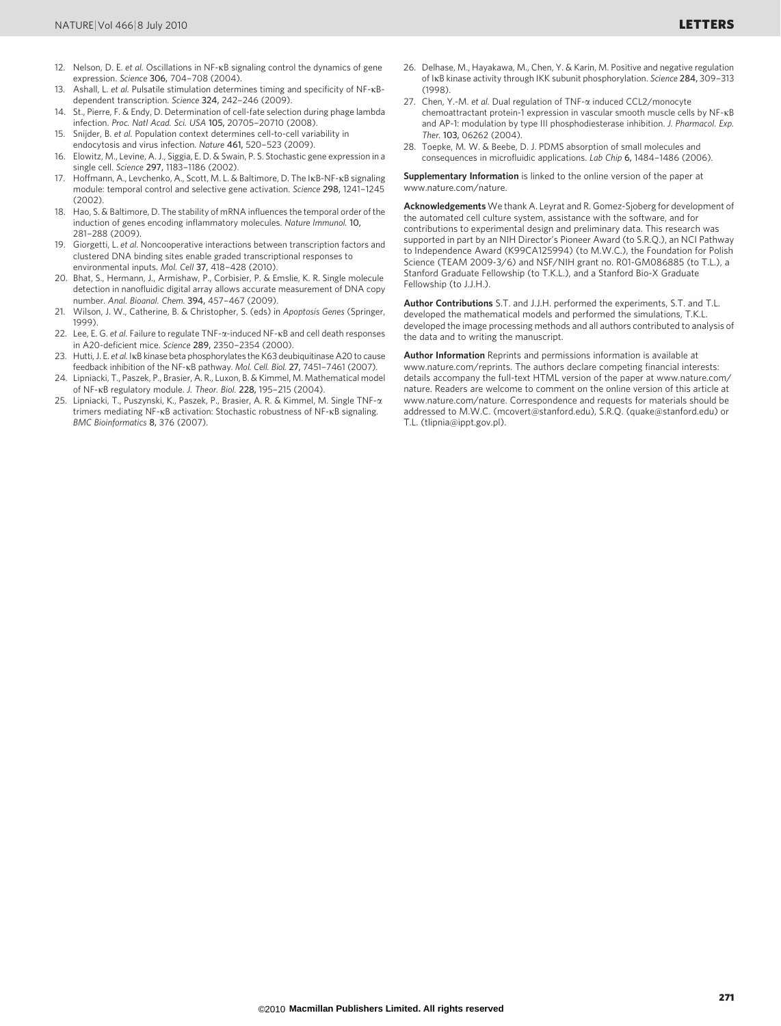- 13. Ashall, L. et al. Pulsatile stimulation determines timing and specificity of NF-KBdependent transcription. Science 324, 242–246 (2009).
- 14. St., Pierre, F. & Endy, D. Determination of cell-fate selection during phage lambda infection. Proc. Natl Acad. Sci. USA 105, 20705–20710 (2008).
- 15. Snijder, B. et al. Population context determines cell-to-cell variability in endocytosis and virus infection. Nature 461, 520–523 (2009).
- 16. Elowitz, M., Levine, A. J., Siggia, E. D. & Swain, P. S. Stochastic gene expression in a single cell. Science 297, 1183–1186 (2002).
- 17. Hoffmann, A., Levchenko, A., Scott, M. L. & Baltimore, D. The IKB-NF-KB signaling module: temporal control and selective gene activation. Science 298, 1241–1245  $(2002)$
- 18. Hao, S. & Baltimore, D. The stability of mRNA influences the temporal order of the induction of genes encoding inflammatory molecules. Nature Immunol. 10, 281–288 (2009).
- 19. Giorgetti, L. et al. Noncooperative interactions between transcription factors and clustered DNA binding sites enable graded transcriptional responses to environmental inputs. Mol. Cell 37, 418-428 (2010).
- 20. Bhat, S., Hermann, J., Armishaw, P., Corbisier, P. & Emslie, K. R. Single molecule detection in nanofluidic digital array allows accurate measurement of DNA copy number. Anal. Bioanal. Chem. 394, 457–467 (2009).
- 21. Wilson, J. W., Catherine, B. & Christopher, S. (eds) in Apoptosis Genes (Springer, 1999).
- 22. Lee, E. G. et al. Failure to regulate TNF-a-induced NF-KB and cell death responses in A20-deficient mice. Science 289, 2350–2354 (2000).
- 23. Hutti, J. E. et al. IkB kinase beta phosphorylates the K63 deubiquitinase A20 to cause feedback inhibition of the NF-kB pathway. Mol. Cell. Biol. 27, 7451–7461 (2007).
- 24. Lipniacki, T., Paszek, P., Brasier, A. R., Luxon, B. & Kimmel, M. Mathematical model of NF-kB regulatory module. J. Theor. Biol. 228, 195–215 (2004).
- 25. Lipniacki, T., Puszynski, K., Paszek, P., Brasier, A. R. & Kimmel, M. Single TNF-a trimers mediating NF-kB activation: Stochastic robustness of NF-kB signaling. BMC Bioinformatics 8, 376 (2007).
- 26. Delhase, M., Hayakawa, M., Chen, Y. & Karin, M. Positive and negative regulation of IkB kinase activity through IKK subunit phosphorylation. Science 284, 309–313 (1998).
- 27. Chen, Y.-M. et al. Dual regulation of TNF- $\alpha$  induced CCL2/monocyte chemoattractant protein-1 expression in vascular smooth muscle cells by NF-kB and AP-1: modulation by type III phosphodiesterase inhibition. J. Pharmacol. Exp. Ther. 103, 06262 (2004).
- 28. Toepke, M. W. & Beebe, D. J. PDMS absorption of small molecules and consequences in microfluidic applications. Lab Chip 6, 1484–1486 (2006).

Supplementary Information is linked to the online version of the paper at <www.nature.com/nature>.

Acknowledgements We thank A. Leyrat and R. Gomez-Sjoberg for development of the automated cell culture system, assistance with the software, and for contributions to experimental design and preliminary data. This research was supported in part by an NIH Director's Pioneer Award (to S.R.Q.), an NCI Pathway to Independence Award (K99CA125994) (to M.W.C.), the Foundation for Polish Science (TEAM 2009-3/6) and NSF/NIH grant no. R01-GM086885 (to T.L.), a Stanford Graduate Fellowship (to T.K.L.), and a Stanford Bio-X Graduate Fellowship (to J.J.H.).

Author Contributions S.T. and J.J.H. performed the experiments, S.T. and T.L. developed the mathematical models and performed the simulations, T.K.L. developed the image processing methods and all authors contributed to analysis of the data and to writing the manuscript.

Author Information Reprints and permissions information is available at <www.nature.com/reprints>. The authors declare competing financial interests: details accompany the full-text HTML version of the paper at [www.nature.com/](www.nature.com/nature) [nature.](www.nature.com/nature) Readers are welcome to comment on the online version of this article at <www.nature.com/nature>. Correspondence and requests for materials should be addressed to M.W.C. [\(mcovert@stanford.edu\)](mailto:mcovert@stanford.edu), S.R.Q. [\(quake@stanford.edu\)](mailto:quake@stanford.edu) or T.L. [\(tlipnia@ippt.gov.pl\).](mailto:tlipnia@ippt.gov.pl)